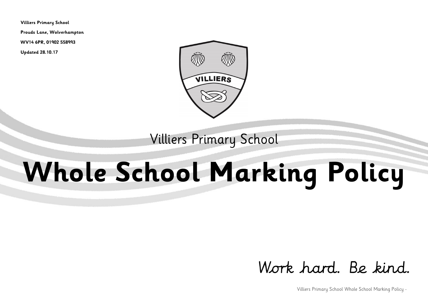**Villiers Primary School**

**Prouds Lane, Wolverhampton**

**WV14 6PR, 01902 558993**

**Updated 28.10.17**



# Villiers Primary School

# **Whole School Marking Policy**

# Work hard. Be kind.

Villiers Primary School Whole School Marking Policy -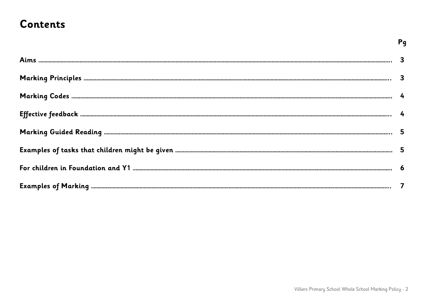## **Contents**

| 3 |
|---|
|   |
|   |
|   |
| 5 |
| 5 |
|   |
|   |

Pg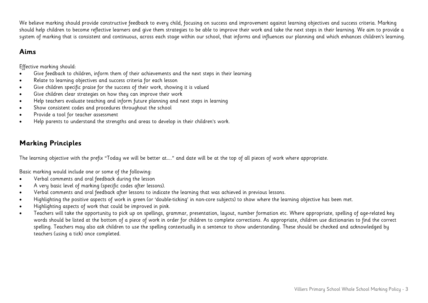We believe marking should provide constructive feedback to every child, focusing on success and improvement against learning objectives and success criteria. Marking should help children to become reflective learners and give them strategies to be able to improve their work and take the next steps in their learning. We aim to provide a system of marking that is consistent and continuous, across each stage within our school, that informs and influences our planning and which enhances children's learning.

#### **Aims**

Effective marking should:

- Give feedback to children, inform them of their achievements and the next steps in their learning
- Relate to learning objectives and success criteria for each lesson
- Give children specific praise for the success of their work, showing it is valued
- Give children clear strategies on how they can improve their work
- Help teachers evaluate teaching and inform future planning and next steps in learning
- Show consistent codes and procedures throughout the school
- Provide a tool for teacher assessment
- Help parents to understand the strengths and areas to develop in their children's work.

## **Marking Principles**

The learning objective with the prefix "Today we will be better at….." and date will be at the top of all pieces of work where appropriate.

Basic marking would include one or some of the following:

- Verbal comments and oral feedback during the lesson
- A very basic level of marking (specific codes after lessons).
- Verbal comments and oral feedback after lessons to indicate the learning that was achieved in previous lessons.
- Highlighting the positive aspects of work in green (or 'double-ticking' in non-core subjects) to show where the learning objective has been met.
- Highlighting aspects of work that could be improved in pink.
- Teachers will take the opportunity to pick up on spellings, grammar, presentation, layout, number formation etc. Where appropriate, spelling of age-related key words should be listed at the bottom of a piece of work in order for children to complete corrections. As appropriate, children use dictionaries to find the correct spelling. Teachers may also ask children to use the spelling contextually in a sentence to show understanding. These should be checked and acknowledged by teachers (using a tick) once completed.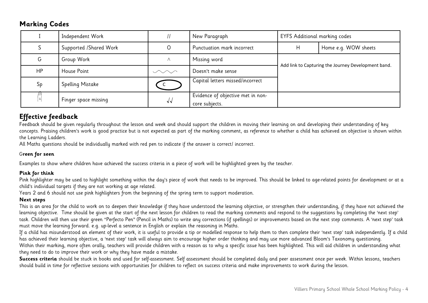#### **Marking Codes**

|    | Independent Work       |          | New Paragraph                                       | <b>EYFS Additional marking codes</b>                |                      |
|----|------------------------|----------|-----------------------------------------------------|-----------------------------------------------------|----------------------|
|    | Supported /Shared Work |          | Punctuation mark incorrect                          | $\mathsf{H}$                                        | Home e.g. WOW sheets |
| G  | Group Work             | $\wedge$ | Missing word                                        | Add link to Capturing the Journey Development band. |                      |
| HP | House Point            | $\sim$   | Doesn't make sense                                  |                                                     |                      |
| Sp | Spelling Mistake       |          | Capital letters missed/incorrect                    |                                                     |                      |
|    | Finger space missing   | VV       | Evidence of objective met in non-<br>core subjects. |                                                     |                      |

### **Effective feedback**

Feedback should be given regularly throughout the lesson and week and should support the children in moving their learning on and developing their understanding of key concepts. Praising children's work is good practice but is not expected as part of the marking comment, as reference to whether a child has achieved an objective is shown within the Learning Ladders.

All Maths questions should be individually marked with red pen to indicate if the answer is correct/ incorrect.

#### G**reen for seen**

Examples to show where children have achieved the success criteria in a piece of work will be highlighted green by the teacher.

#### **Pink for think**

Pink highlighter may be used to highlight something within the day's piece of work that needs to be improved. This should be linked to age-related points for development or at a child's individual targets if they are not working at age related.

Years 2 and 6 should not use pink highlighters from the beginning of the spring term to support moderation.

#### **Next steps**

This is an area for the child to work on to deepen their knowledge if they have understood the learning objective, or strengthen their understanding, if they have not achieved the learning objective. Time should be given at the start of the next lesson for children to read the marking comments and respond to the suggestions by completing the 'next step' task. Children will then use their green "Perfecto Pen" (Pencil in Maths) to write any corrections (if spellings) or improvements based on the next step comments. A 'next step' task must move the learning forward. e.g. up-level a sentence in English or explain the reasoning in Maths.

If a child has misunderstood an element of their work, it is useful to provide a tip or modelled response to help them to then complete their 'next step' task independently. If a child has achieved their learning objective, a 'next step' task will always aim to encourage higher order thinking and may use more advanced Bloom's Taxonomy questioning. Within their marking, more often orally, teachers will provide children with a reason as to why a specific issue has been highlighted. This will aid children in understanding what they need to do to improve their work or why they have made a mistake.

Success criteria should be stuck in books and used for self-assessment. Self assessment should be completed daily and peer assessment once per week. Within lessons, teachers should build in time for reflective sessions with opportunities for children to reflect on success criteria and make improvements to work during the lesson.